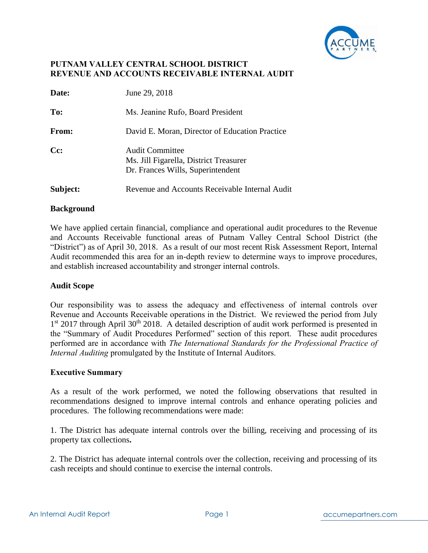

| Date:    | June 29, 2018                                                                                         |
|----------|-------------------------------------------------------------------------------------------------------|
| To:      | Ms. Jeanine Rufo, Board President                                                                     |
| From:    | David E. Moran, Director of Education Practice                                                        |
| $Cc$ :   | <b>Audit Committee</b><br>Ms. Jill Figarella, District Treasurer<br>Dr. Frances Wills, Superintendent |
| Subject: | Revenue and Accounts Receivable Internal Audit                                                        |

### **Background**

We have applied certain financial, compliance and operational audit procedures to the Revenue and Accounts Receivable functional areas of Putnam Valley Central School District (the "District") as of April 30, 2018. As a result of our most recent Risk Assessment Report, Internal Audit recommended this area for an in-depth review to determine ways to improve procedures, and establish increased accountability and stronger internal controls.

### **Audit Scope**

Our responsibility was to assess the adequacy and effectiveness of internal controls over Revenue and Accounts Receivable operations in the District. We reviewed the period from July 1<sup>st</sup> 2017 through April 30<sup>th</sup> 2018. A detailed description of audit work performed is presented in the "Summary of Audit Procedures Performed" section of this report. These audit procedures performed are in accordance with *The International Standards for the Professional Practice of Internal Auditing* promulgated by the Institute of Internal Auditors.

### **Executive Summary**

As a result of the work performed, we noted the following observations that resulted in recommendations designed to improve internal controls and enhance operating policies and procedures. The following recommendations were made:

1. The District has adequate internal controls over the billing, receiving and processing of its property tax collections**.** 

2. The District has adequate internal controls over the collection, receiving and processing of its cash receipts and should continue to exercise the internal controls.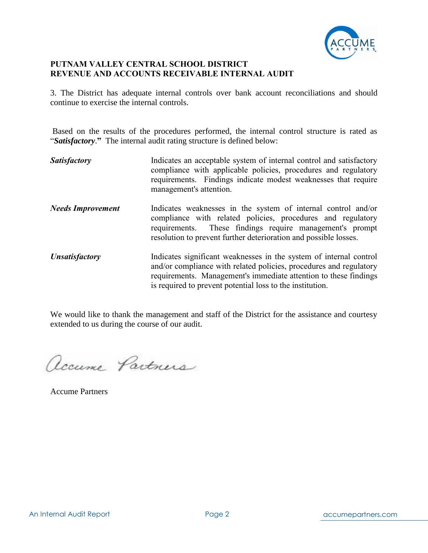

3. The District has adequate internal controls over bank account reconciliations and should continue to exercise the internal controls.

Based on the results of the procedures performed, the internal control structure is rated as "*Satisfactory*.**"** The internal audit rating structure is defined below:

**Satisfactory Indicates an acceptable system of internal control and satisfactory** compliance with applicable policies, procedures and regulatory requirements. Findings indicate modest weaknesses that require management's attention. *Needs Improvement* Indicates weaknesses in the system of internal control and/or compliance with related policies, procedures and regulatory requirements. These findings require management's prompt resolution to prevent further deterioration and possible losses. *Unsatisfactory* Indicates significant weaknesses in the system of internal control and/or compliance with related policies, procedures and regulatory requirements. Management's immediate attention to these findings is required to prevent potential loss to the institution.

We would like to thank the management and staff of the District for the assistance and courtesy extended to us during the course of our audit.

accume Partners

Accume Partners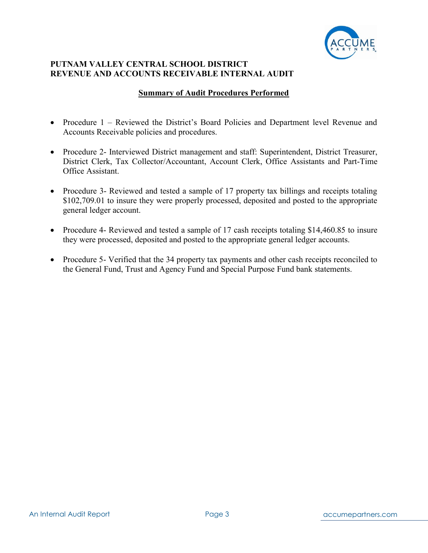

### **Summary of Audit Procedures Performed**

- Procedure 1 Reviewed the District's Board Policies and Department level Revenue and Accounts Receivable policies and procedures.
- Procedure 2- Interviewed District management and staff: Superintendent, District Treasurer, District Clerk, Tax Collector/Accountant, Account Clerk, Office Assistants and Part-Time Office Assistant.
- Procedure 3- Reviewed and tested a sample of 17 property tax billings and receipts totaling \$102,709.01 to insure they were properly processed, deposited and posted to the appropriate general ledger account.
- Procedure 4- Reviewed and tested a sample of 17 cash receipts totaling \$14,460.85 to insure they were processed, deposited and posted to the appropriate general ledger accounts.
- Procedure 5- Verified that the 34 property tax payments and other cash receipts reconciled to the General Fund, Trust and Agency Fund and Special Purpose Fund bank statements.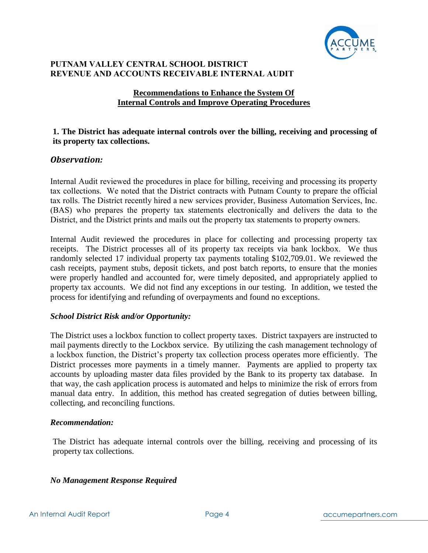

## **Recommendations to Enhance the System Of Internal Controls and Improve Operating Procedures**

## **1. The District has adequate internal controls over the billing, receiving and processing of its property tax collections.**

## *Observation:*

Internal Audit reviewed the procedures in place for billing, receiving and processing its property tax collections. We noted that the District contracts with Putnam County to prepare the official tax rolls. The District recently hired a new services provider, Business Automation Services, Inc. (BAS) who prepares the property tax statements electronically and delivers the data to the District, and the District prints and mails out the property tax statements to property owners.

Internal Audit reviewed the procedures in place for collecting and processing property tax receipts. The District processes all of its property tax receipts via bank lockbox. We thus randomly selected 17 individual property tax payments totaling \$102,709.01. We reviewed the cash receipts, payment stubs, deposit tickets, and post batch reports, to ensure that the monies were properly handled and accounted for, were timely deposited, and appropriately applied to property tax accounts. We did not find any exceptions in our testing. In addition, we tested the process for identifying and refunding of overpayments and found no exceptions.

### *School District Risk and/or Opportunity:*

The District uses a lockbox function to collect property taxes. District taxpayers are instructed to mail payments directly to the Lockbox service. By utilizing the cash management technology of a lockbox function, the District's property tax collection process operates more efficiently. The District processes more payments in a timely manner. Payments are applied to property tax accounts by uploading master data files provided by the Bank to its property tax database. In that way, the cash application process is automated and helps to minimize the risk of errors from manual data entry. In addition, this method has created segregation of duties between billing, collecting, and reconciling functions.

### *Recommendation:*

The District has adequate internal controls over the billing, receiving and processing of its property tax collections.

### *No Management Response Required*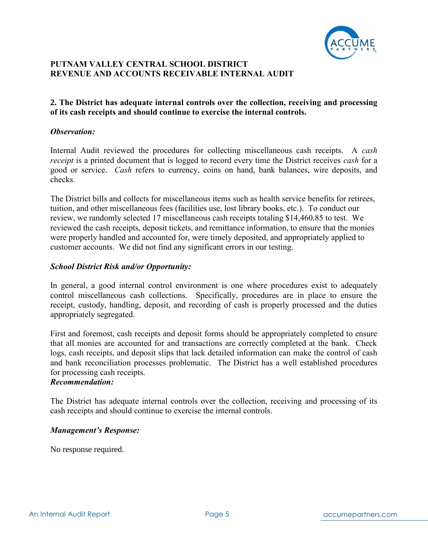

# **2. The District has adequate internal controls over the collection, receiving and processing of its cash receipts and should continue to exercise the internal controls.**

#### *Observation:*

Internal Audit reviewed the procedures for collecting miscellaneous cash receipts. A *cash receipt* is a printed document that is logged to record every time the District receives *cash* for a good or service. *Cash* refers to currency, coins on hand, bank balances, wire deposits, and checks.

The District bills and collects for miscellaneous items such as health service benefits for retirees, tuition, and other miscellaneous fees (facilities use, lost library books, etc.). To conduct our review, we randomly selected 17 miscellaneous cash receipts totaling \$14,460.85 to test. We reviewed the cash receipts, deposit tickets, and remittance information, to ensure that the monies were properly handled and accounted for, were timely deposited, and appropriately applied to customer accounts. We did not find any significant errors in our testing.

### *School District Risk and/or Opportunity:*

In general, a good internal control environment is one where procedures exist to adequately control miscellaneous cash collections. Specifically, procedures are in place to ensure the receipt, custody, handling, deposit, and recording of cash is properly processed and the duties appropriately segregated.

First and foremost, cash receipts and deposit forms should be appropriately completed to ensure that all monies are accounted for and transactions are correctly completed at the bank. Check logs, cash receipts, and deposit slips that lack detailed information can make the control of cash and bank reconciliation processes problematic. The District has a well established procedures for processing cash receipts.

#### *Recommendation:*

The District has adequate internal controls over the collection, receiving and processing of its cash receipts and should continue to exercise the internal controls.

### *Management's Response:*

No response required.